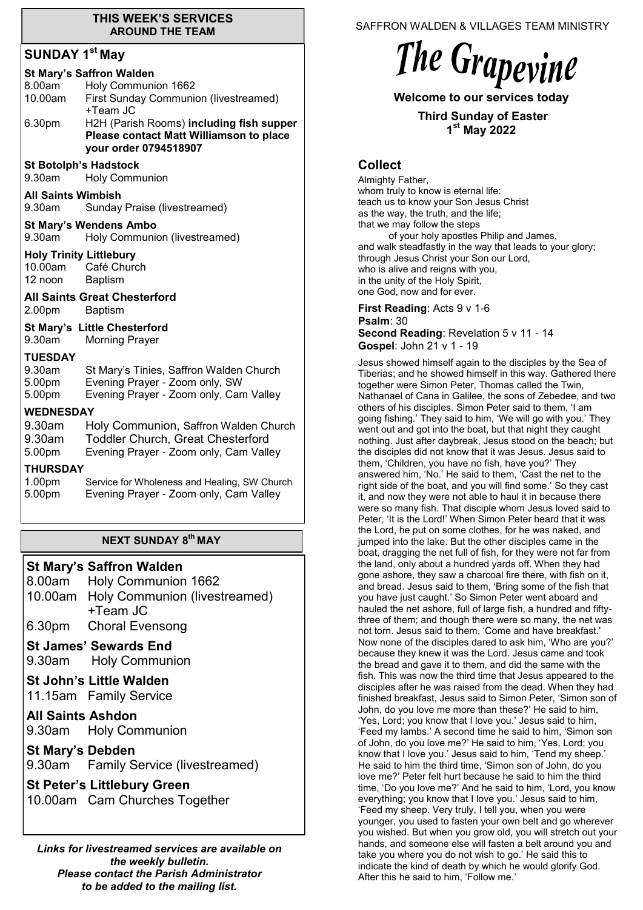#### **THIS WEEK'S SERVICES AROUND THE TEAM**

# **SUNDAY 1st May**

## **St Mary's Saffron Walden**

| 8.00am<br>10.00am                               | Holy Communion 1662<br><b>First Sunday Communion (livestreamed)</b><br>+Team JC                                             |
|-------------------------------------------------|-----------------------------------------------------------------------------------------------------------------------------|
| 6.30pm                                          | H2H (Parish Rooms) including fish supper<br>Please contact Matt Williamson to place<br>your order 0794518907                |
| <b>St Botolph's Hadstock</b><br>9.30am          | <b>Holy Communion</b>                                                                                                       |
| <b>All Saints Wimbish</b><br>9.30am             | Sunday Praise (livestreamed)                                                                                                |
| 9.30am                                          | <b>St Mary's Wendens Ambo</b><br>Holy Communion (livestreamed)                                                              |
| <b>Holy Trinity Littlebury</b><br>12 noon       | 10.00am Café Church<br>Baptism                                                                                              |
| 2.00 <sub>pm</sub>                              | <b>All Saints Great Chesterford</b><br>Baptism                                                                              |
| 9.30am                                          | <b>St Mary's Little Chesterford</b><br><b>Morning Prayer</b>                                                                |
| <b>TUESDAY</b><br>9.30am<br>5.00pm<br>5.00pm    | St Mary's Tinies, Saffron Walden Church<br>Evening Prayer - Zoom only, SW<br>Evening Prayer - Zoom only, Cam Valley         |
| <b>WEDNESDAY</b>                                |                                                                                                                             |
| 9.30am<br>9.30am<br>5.00pm                      | Holy Communion, Saffron Walden Church<br><b>Toddler Church, Great Chesterford</b><br>Evening Prayer - Zoom only, Cam Valley |
| <b>THURSDAY</b><br>1.00 <sub>pm</sub><br>5.00pm | Service for Wholeness and Healing, SW Church<br>Evening Prayer - Zoom only, Cam Valley                                      |

## **NEXT SUNDAY 8 th MAY**

#### **St Mary's Saffron Walden**

8.00am Holy Communion 1662 10.00am Holy Communion (livestreamed) +Team JC

6.30pm Choral Evensong

# **St James' Sewards End**

9.30am Holy Communion

**St John's Little Walden**  11.15am Family Service

**All Saints Ashdon**  9.30am Holy Communion

**St Mary's Debden** 9.30am Family Service (livestreamed)

# **St Peter's Littlebury Green**

10.00am Cam Churches Together

*Links for livestreamed services are available on the weekly bulletin. Please contact the Parish Administrator to be added to the mailing list.*

SAFFRON WALDEN & VILLAGES TEAM MINISTRY

# The Grapevine

**Welcome to our services today** 

**Third Sunday of Easter 1 st May 2022**

## **Collect**

Almighty Father, whom truly to know is eternal life: teach us to know your Son Jesus Christ as the way, the truth, and the life; that we may follow the steps of your holy apostles Philip and James, and walk steadfastly in the way that leads to your glory; through Jesus Christ your Son our Lord, who is alive and reigns with you, in the unity of the Holy Spirit, one God, now and for ever.

**First Reading: Acts 9 v 1-6 Psalm**: 30 **Second Reading**: Revelation 5 v 11 - 14 **Gospel**: John 21 v 1 - 19

Jesus showed himself again to the disciples by the Sea of Tiberias; and he showed himself in this way. Gathered there together were Simon Peter, Thomas called the Twin, Nathanael of Cana in Galilee, the sons of Zebedee, and two others of his disciples. Simon Peter said to them, 'I am going fishing.' They said to him, 'We will go with you.' They went out and got into the boat, but that night they caught nothing. Just after daybreak, Jesus stood on the beach; but the disciples did not know that it was Jesus. Jesus said to them, 'Children, you have no fish, have you?' They answered him, 'No.' He said to them, 'Cast the net to the right side of the boat, and you will find some.' So they cast it, and now they were not able to haul it in because there were so many fish. That disciple whom Jesus loved said to Peter, 'It is the Lord!' When Simon Peter heard that it was the Lord, he put on some clothes, for he was naked, and jumped into the lake. But the other disciples came in the boat, dragging the net full of fish, for they were not far from the land, only about a hundred yards off. When they had gone ashore, they saw a charcoal fire there, with fish on it, and bread. Jesus said to them, 'Bring some of the fish that you have just caught.' So Simon Peter went aboard and hauled the net ashore, full of large fish, a hundred and fiftythree of them; and though there were so many, the net was not torn. Jesus said to them, 'Come and have breakfast.' Now none of the disciples dared to ask him, 'Who are you?' because they knew it was the Lord. Jesus came and took the bread and gave it to them, and did the same with the fish. This was now the third time that Jesus appeared to the disciples after he was raised from the dead. When they had finished breakfast, Jesus said to Simon Peter, 'Simon son of John, do you love me more than these?' He said to him, 'Yes, Lord; you know that I love you.' Jesus said to him, 'Feed my lambs.' A second time he said to him, 'Simon son of John, do you love me?' He said to him, 'Yes, Lord; you know that I love you.' Jesus said to him, 'Tend my sheep.' He said to him the third time, 'Simon son of John, do you love me?' Peter felt hurt because he said to him the third time, 'Do you love me?' And he said to him, 'Lord, you know everything; you know that I love you.' Jesus said to him, 'Feed my sheep. Very truly, I tell you, when you were younger, you used to fasten your own belt and go wherever you wished. But when you grow old, you will stretch out your hands, and someone else will fasten a belt around you and take you where you do not wish to go.' He said this to indicate the kind of death by which he would glorify God. After this he said to him, 'Follow me.'